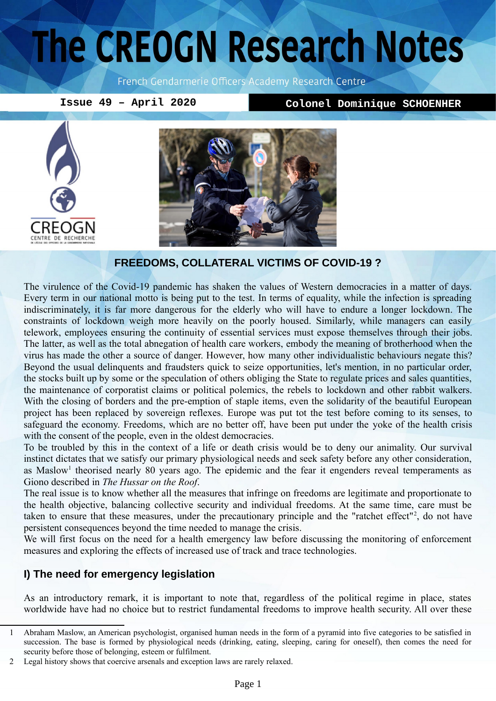# The CREOGN Research Notes

French Gendarmerie Officers Academy Research Centre

**Issue 49 – April 2020 Colonel Dominique SCHOENHER**





### **FREEDOMS, COLLATERAL VICTIMS OF COVID-19 ?**

The virulence of the Covid-19 pandemic has shaken the values of Western democracies in a matter of days. Every term in our national motto is being put to the test. In terms of equality, while the infection is spreading indiscriminately, it is far more dangerous for the elderly who will have to endure a longer lockdown. The constraints of lockdown weigh more heavily on the poorly housed. Similarly, while managers can easily telework, employees ensuring the continuity of essential services must expose themselves through their jobs. The latter, as well as the total abnegation of health care workers, embody the meaning of brotherhood when the virus has made the other a source of danger. However, how many other individualistic behaviours negate this? Beyond the usual delinquents and fraudsters quick to seize opportunities, let's mention, in no particular order, the stocks built up by some or the speculation of others obliging the State to regulate prices and sales quantities, the maintenance of corporatist claims or political polemics, the rebels to lockdown and other rabbit walkers. With the closing of borders and the pre-emption of staple items, even the solidarity of the beautiful European project has been replaced by sovereign reflexes. Europe was put tot the test before coming to its senses, to safeguard the economy. Freedoms, which are no better off, have been put under the yoke of the health crisis with the consent of the people, even in the oldest democracies.

To be troubled by this in the context of a life or death crisis would be to deny our animality. Our survival instinct dictates that we satisfy our primary physiological needs and seek safety before any other consideration, as Maslow<sup>[1](#page-0-0)</sup> theorised nearly 80 years ago. The epidemic and the fear it engenders reveal temperaments as Giono described in *The Hussar on the Roof*.

The real issue is to know whether all the measures that infringe on freedoms are legitimate and proportionate to the health objective, balancing collective security and individual freedoms. At the same time, care must be taken to ensure that these measures, under the precautionary principle and the "ratchet effect"<sup>[2](#page-0-1)</sup>, do not have persistent consequences beyond the time needed to manage the crisis.

We will first focus on the need for a health emergency law before discussing the monitoring of enforcement measures and exploring the effects of increased use of track and trace technologies.

# **I) The need for emergency legislation**

As an introductory remark, it is important to note that, regardless of the political regime in place, states worldwide have had no choice but to restrict fundamental freedoms to improve health security. All over these

<span id="page-0-0"></span><sup>1</sup> Abraham Maslow, an American psychologist, organised human needs in the form of a pyramid into five categories to be satisfied in succession. The base is formed by physiological needs (drinking, eating, sleeping, caring for oneself), then comes the need for security before those of belonging, esteem or fulfilment.

<span id="page-0-1"></span><sup>2</sup> Legal history shows that coercive arsenals and exception laws are rarely relaxed.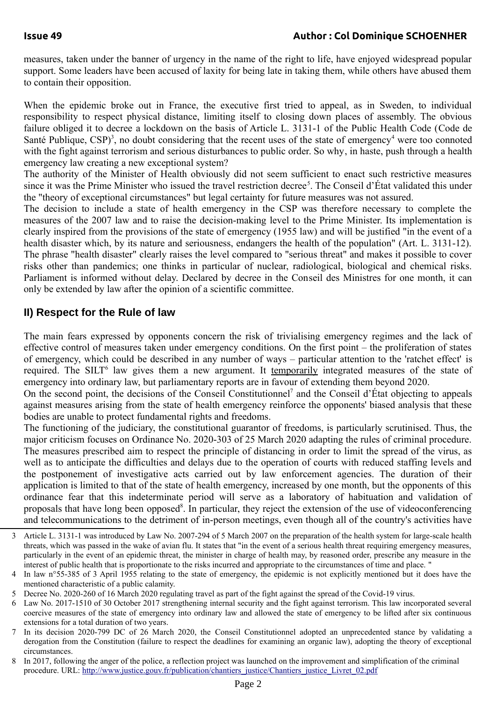measures, taken under the banner of urgency in the name of the right to life, have enjoyed widespread popular support. Some leaders have been accused of laxity for being late in taking them, while others have abused them to contain their opposition.

When the epidemic broke out in France, the executive first tried to appeal, as in Sweden, to individual responsibility to respect physical distance, limiting itself to closing down places of assembly. The obvious failure obliged it to decree a lockdown on the basis of Article L. 3131-1 of the Public Health Code (Code de Santé Publique,  $CSP$ <sup>[3](#page-1-0)</sup>, no doubt considering that the recent uses of the state of emergency<sup>[4](#page-1-1)</sup> were too connoted with the fight against terrorism and serious disturbances to public order. So why, in haste, push through a health emergency law creating a new exceptional system?

The authority of the Minister of Health obviously did not seem sufficient to enact such restrictive measures since it was the Prime Minister who issued the travel restriction decree<sup>[5](#page-1-2)</sup>. The Conseil d'État validated this under the "theory of exceptional circumstances" but legal certainty for future measures was not assured.

The decision to include a state of health emergency in the CSP was therefore necessary to complete the measures of the 2007 law and to raise the decision-making level to the Prime Minister. Its implementation is clearly inspired from the provisions of the state of emergency (1955 law) and will be justified "in the event of a health disaster which, by its nature and seriousness, endangers the health of the population" (Art. L. 3131-12). The phrase "health disaster" clearly raises the level compared to "serious threat" and makes it possible to cover risks other than pandemics; one thinks in particular of nuclear, radiological, biological and chemical risks. Parliament is informed without delay. Declared by decree in the Conseil des Ministres for one month, it can only be extended by law after the opinion of a scientific committee.

# **II) Respect for the Rule of law**

The main fears expressed by opponents concern the risk of trivialising emergency regimes and the lack of effective control of measures taken under emergency conditions. On the first point – the proliferation of states of emergency, which could be described in any number of ways – particular attention to the 'ratchet effect' is required. The SILT<sup>[6](#page-1-3)</sup> law gives them a new argument. It temporarily integrated measures of the state of emergency into ordinary law, but parliamentary reports are in favour of extending them beyond 2020.

On the second point, the decisions of the Conseil Constitutionnel [7](#page-1-4) and the Conseil d'État objecting to appeals against measures arising from the state of health emergency reinforce the opponents' biased analysis that these bodies are unable to protect fundamental rights and freedoms.

The functioning of the judiciary, the constitutional guarantor of freedoms, is particularly scrutinised. Thus, the major criticism focuses on Ordinance No. 2020-303 of 25 March 2020 adapting the rules of criminal procedure. The measures prescribed aim to respect the principle of distancing in order to limit the spread of the virus, as well as to anticipate the difficulties and delays due to the operation of courts with reduced staffing levels and the postponement of investigative acts carried out by law enforcement agencies. The duration of their application is limited to that of the state of health emergency, increased by one month, but the opponents of this ordinance fear that this indeterminate period will serve as a laboratory of habituation and validation of proposals that have long been opposed<sup>[8](#page-1-5)</sup>. In particular, they reject the extension of the use of videoconferencing and telecommunications to the detriment of in-person meetings, even though all of the country's activities have

<span id="page-1-0"></span><sup>3</sup> Article L. 3131-1 was introduced by Law No. 2007-294 of 5 March 2007 on the preparation of the health system for large-scale health threats, which was passed in the wake of avian flu. It states that "in the event of a serious health threat requiring emergency measures, particularly in the event of an epidemic threat, the minister in charge of health may, by reasoned order, prescribe any measure in the interest of public health that is proportionate to the risks incurred and appropriate to the circumstances of time and place. "

<span id="page-1-1"></span><sup>4</sup> In law n°55-385 of 3 April 1955 relating to the state of emergency, the epidemic is not explicitly mentioned but it does have the mentioned characteristic of a public calamity.

<span id="page-1-2"></span><sup>5</sup> Decree No. 2020-260 of 16 March 2020 regulating travel as part of the fight against the spread of the Covid-19 virus.

<span id="page-1-3"></span><sup>6</sup> Law No. 2017-1510 of 30 October 2017 strengthening internal security and the fight against terrorism. This law incorporated several coercive measures of the state of emergency into ordinary law and allowed the state of emergency to be lifted after six continuous extensions for a total duration of two years.

<span id="page-1-4"></span><sup>7</sup> In its decision 2020-799 DC of 26 March 2020, the Conseil Constitutionnel adopted an unprecedented stance by validating a derogation from the Constitution (failure to respect the deadlines for examining an organic law), adopting the theory of exceptional circumstances.

<span id="page-1-5"></span><sup>8</sup> In 2017, following the anger of the police, a reflection project was launched on the improvement and simplification of the criminal procedure. URL: [http://www.justice.gouv.fr/publication/chantiers\\_justice/Chantiers\\_justice\\_Livret\\_02.pdf](http://www.justice.gouv.fr/publication/chantiers_justice/Chantiers_justice_Livret_02.pdf)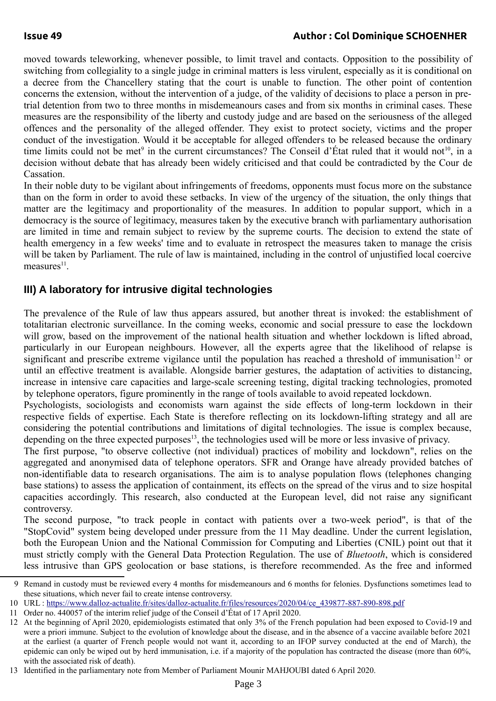# **Issue 49 Author : Col Dominique SCHOENHER**

moved towards teleworking, whenever possible, to limit travel and contacts. Opposition to the possibility of switching from collegiality to a single judge in criminal matters is less virulent, especially as it is conditional on a decree from the Chancellery stating that the court is unable to function. The other point of contention concerns the extension, without the intervention of a judge, of the validity of decisions to place a person in pretrial detention from two to three months in misdemeanours cases and from six months in criminal cases. These measures are the responsibility of the liberty and custody judge and are based on the seriousness of the alleged offences and the personality of the alleged offender. They exist to protect society, victims and the proper conduct of the investigation. Would it be acceptable for alleged offenders to be released because the ordinary time limits could not be met<sup>[9](#page-2-0)</sup> in the current circumstances? The Conseil d'État ruled that it would not<sup>[10](#page-2-1)</sup>, in a decision without debate that has already been widely criticised and that could be contradicted by the Cour de Cassation.

In their noble duty to be vigilant about infringements of freedoms, opponents must focus more on the substance than on the form in order to avoid these setbacks. In view of the urgency of the situation, the only things that matter are the legitimacy and proportionality of the measures. In addition to popular support, which in a democracy is the source of legitimacy, measures taken by the executive branch with parliamentary authorisation are limited in time and remain subject to review by the supreme courts. The decision to extend the state of health emergency in a few weeks' time and to evaluate in retrospect the measures taken to manage the crisis will be taken by Parliament. The rule of law is maintained, including in the control of unjustified local coercive  $measures<sup>11</sup>$  $measures<sup>11</sup>$  $measures<sup>11</sup>$ .

# **III) A laboratory for intrusive digital technologies**

The prevalence of the Rule of law thus appears assured, but another threat is invoked: the establishment of totalitarian electronic surveillance. In the coming weeks, economic and social pressure to ease the lockdown will grow, based on the improvement of the national health situation and whether lockdown is lifted abroad, particularly in our European neighbours. However, all the experts agree that the likelihood of relapse is significant and prescribe extreme vigilance until the population has reached a threshold of immunisation<sup>[12](#page-2-3)</sup> or until an effective treatment is available. Alongside barrier gestures, the adaptation of activities to distancing, increase in intensive care capacities and large-scale screening testing, digital tracking technologies, promoted by telephone operators, figure prominently in the range of tools available to avoid repeated lockdown.

Psychologists, sociologists and economists warn against the side effects of long-term lockdown in their respective fields of expertise. Each State is therefore reflecting on its lockdown-lifting strategy and all are considering the potential contributions and limitations of digital technologies. The issue is complex because, depending on the three expected purposes<sup>[13](#page-2-4)</sup>, the technologies used will be more or less invasive of privacy.

The first purpose, "to observe collective (not individual) practices of mobility and lockdown", relies on the aggregated and anonymised data of telephone operators. SFR and Orange have already provided batches of non-identifiable data to research organisations. The aim is to analyse population flows (telephones changing base stations) to assess the application of containment, its effects on the spread of the virus and to size hospital capacities accordingly. This research, also conducted at the European level, did not raise any significant controversy.

The second purpose, "to track people in contact with patients over a two-week period", is that of the "StopCovid" system being developed under pressure from the 11 May deadline. Under the current legislation, both the European Union and the National Commission for Computing and Liberties (CNIL) point out that it must strictly comply with the General Data Protection Regulation. The use of *Bluetooth*, which is considered less intrusive than GPS geolocation or base stations, is therefore recommended. As the free and informed

<span id="page-2-0"></span><sup>9</sup> Remand in custody must be reviewed every 4 months for misdemeanours and 6 months for felonies. Dysfunctions sometimes lead to these situations, which never fail to create intense controversy.

<span id="page-2-1"></span><sup>10</sup> URL : [https://www.dalloz-actualite.fr/sites/dalloz-actualite.fr/files/resources/2020/04/ce\\_439877-887-890-898.pdf](https://www.dalloz-actualite.fr/sites/dalloz-actualite.fr/files/resources/2020/04/ce_439877-887-890-898.pdf)

<span id="page-2-2"></span><sup>11</sup> Order no. 440057 of the interim relief judge of the Conseil d'État of 17 April 2020.

<span id="page-2-3"></span><sup>12</sup> At the beginning of April 2020, epidemiologists estimated that only 3% of the French population had been exposed to Covid-19 and were a priori immune. Subject to the evolution of knowledge about the disease, and in the absence of a vaccine available before 2021 at the earliest (a quarter of French people would not want it, according to an IFOP survey conducted at the end of March), the epidemic can only be wiped out by herd immunisation, i.e. if a majority of the population has contracted the disease (more than 60%, with the associated risk of death).

<span id="page-2-4"></span><sup>13</sup> Identified in the parliamentary note from Member of Parliament Mounir MAHJOUBI dated 6 April 2020.